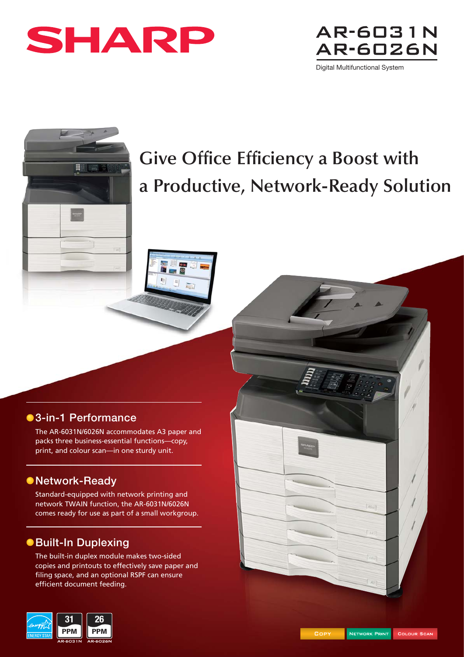





# **Give Office Efficiency a Boost with a Productive, Network-Ready Solution**

### **3-in-1 Performance**

The AR-6031N/6026N accommodates A3 paper and packs three business-essential functions—copy, print, and colour scan—in one sturdy unit.

画

### **Network-Ready**

Standard-equipped with network printing and network TWAIN function, the AR-6031N/6026N comes ready for use as part of a small workgroup.

## **Built-In Duplexing**

The built-in duplex module makes two-sided copies and printouts to effectively save paper and filing space, and an optional RSPF can ensure efficient document feeding.





 $[45]$ 

 $140$ 

ñ.